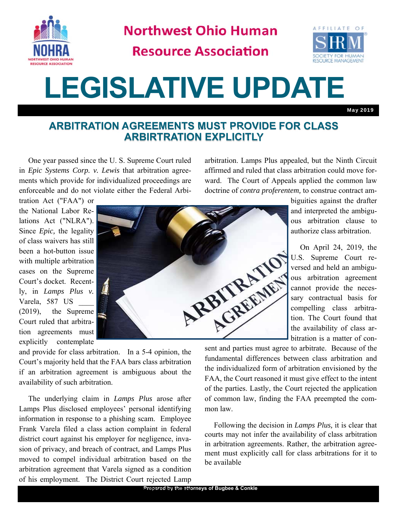

**Northwest Ohio Human** 

**Resource Association** 



# **LEGISLATIVE UPDATE**

May 2019

#### **ARBITRATION AGREEMENTS MUST PROVIDE FOR CLASS ARBIRTRATION EXPLICITLY**

 One year passed since the U. S. Supreme Court ruled in *Epic Systems Corp. v. Lewis* that arbitration agreements which provide for individualized proceedings are enforceable and do not violate either the Federal Arbiarbitration. Lamps Plus appealed, but the Ninth Circuit affirmed and ruled that class arbitration could move forward. The Court of Appeals applied the common law doctrine of *contra proferentem,* to construe contract am-

tration Act ("FAA") or the National Labor Relations Act ("NLRA"). Since *Epic,* the legality of class waivers has still been a hot-button issue with multiple arbitration cases on the Supreme Court's docket. Recently, in *Lamps Plus v.*  Varela, 587 US \_\_\_\_ (2019), the Supreme Court ruled that arbitration agreements must explicitly contemplate



Court's majority held that the FAA bars class arbitration if an arbitration agreement is ambiguous about the availability of such arbitration.

 The underlying claim in *Lamps Plus* arose after Lamps Plus disclosed employees' personal identifying information in response to a phishing scam. Employee Frank Varela filed a class action complaint in federal district court against his employer for negligence, invasion of privacy, and breach of contract, and Lamps Plus moved to compel individual arbitration based on the arbitration agreement that Varela signed as a condition of his employment. The District Court rejected Lamp biguities against the drafter and interpreted the ambiguous arbitration clause to authorize class arbitration.

 On April 24, 2019, the U.S. Supreme Court reversed and held an ambiguous arbitration agreement cannot provide the necessary contractual basis for compelling class arbitration. The Court found that the availability of class arbitration is a matter of con-

sent and parties must agree to arbitrate. Because of the fundamental differences between class arbitration and the individualized form of arbitration envisioned by the FAA, the Court reasoned it must give effect to the intent of the parties. Lastly, the Court rejected the application of common law, finding the FAA preempted the common law.

 Following the decision in *Lamps Plus,* it is clear that courts may not infer the availability of class arbitration in arbitration agreements. Rather, the arbitration agreement must explicitly call for class arbitrations for it to be available